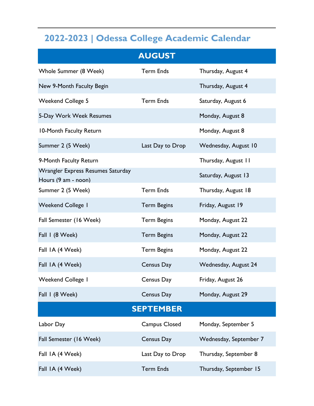## **2022-2023 | Odessa College Academic Calendar**

|                                                          | <b>AUGUST</b>      |                        |  |
|----------------------------------------------------------|--------------------|------------------------|--|
| Whole Summer (8 Week)                                    | <b>Term Ends</b>   | Thursday, August 4     |  |
| New 9-Month Faculty Begin                                |                    | Thursday, August 4     |  |
| <b>Weekend College 5</b>                                 | <b>Term Ends</b>   | Saturday, August 6     |  |
| 5-Day Work Week Resumes                                  |                    | Monday, August 8       |  |
| 10-Month Faculty Return                                  |                    | Monday, August 8       |  |
| Summer 2 (5 Week)                                        | Last Day to Drop   | Wednesday, August 10   |  |
| 9-Month Faculty Return                                   |                    | Thursday, August 11    |  |
| Wrangler Express Resumes Saturday<br>Hours (9 am - noon) |                    | Saturday, August 13    |  |
| Summer 2 (5 Week)                                        | <b>Term Ends</b>   | Thursday, August 18    |  |
| <b>Weekend College I</b>                                 | <b>Term Begins</b> | Friday, August 19      |  |
| Fall Semester (16 Week)                                  | <b>Term Begins</b> | Monday, August 22      |  |
| Fall I (8 Week)                                          | <b>Term Begins</b> | Monday, August 22      |  |
| Fall IA (4 Week)                                         | <b>Term Begins</b> | Monday, August 22      |  |
| Fall IA (4 Week)                                         | Census Day         | Wednesday, August 24   |  |
| <b>Weekend College I</b>                                 | Census Day         | Friday, August 26      |  |
| Fall I (8 Week)                                          | Census Day         | Monday, August 29      |  |
| <b>SEPTEMBER</b>                                         |                    |                        |  |
| Labor Day                                                | Campus Closed      | Monday, September 5    |  |
| Fall Semester (16 Week)                                  | Census Day         | Wednesday, September 7 |  |
| Fall IA (4 Week)                                         | Last Day to Drop   | Thursday, September 8  |  |
| Fall IA (4 Week)                                         | <b>Term Ends</b>   | Thursday, September 15 |  |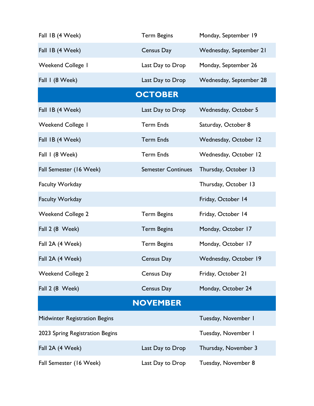| Fall IB (4 Week)                     | <b>Term Begins</b>        | Monday, September 19    |
|--------------------------------------|---------------------------|-------------------------|
| Fall IB (4 Week)                     | Census Day                | Wednesday, September 21 |
| Weekend College I                    | Last Day to Drop          | Monday, September 26    |
| Fall I (8 Week)                      | Last Day to Drop          | Wednesday, September 28 |
|                                      | <b>OCTOBER</b>            |                         |
| Fall IB (4 Week)                     | Last Day to Drop          | Wednesday, October 5    |
| <b>Weekend College I</b>             | <b>Term Ends</b>          | Saturday, October 8     |
| Fall IB (4 Week)                     | <b>Term Ends</b>          | Wednesday, October 12   |
| Fall 1 (8 Week)                      | <b>Term Ends</b>          | Wednesday, October 12   |
| Fall Semester (16 Week)              | <b>Semester Continues</b> | Thursday, October 13    |
| <b>Faculty Workday</b>               |                           | Thursday, October 13    |
| <b>Faculty Workday</b>               |                           | Friday, October 14      |
| <b>Weekend College 2</b>             | <b>Term Begins</b>        | Friday, October 14      |
| Fall 2 (8 Week)                      | <b>Term Begins</b>        | Monday, October 17      |
| Fall 2A (4 Week)                     | <b>Term Begins</b>        | Monday, October 17      |
| Fall 2A (4 Week)                     | Census Day                | Wednesday, October 19   |
| <b>Weekend College 2</b>             | Census Day                | Friday, October 21      |
| Fall 2 (8 Week)                      | Census Day                | Monday, October 24      |
|                                      | <b>NOVEMBER</b>           |                         |
| <b>Midwinter Registration Begins</b> |                           | Tuesday, November I     |
| 2023 Spring Registration Begins      |                           | Tuesday, November I     |
| Fall 2A (4 Week)                     | Last Day to Drop          | Thursday, November 3    |
| Fall Semester (16 Week)              | Last Day to Drop          | Tuesday, November 8     |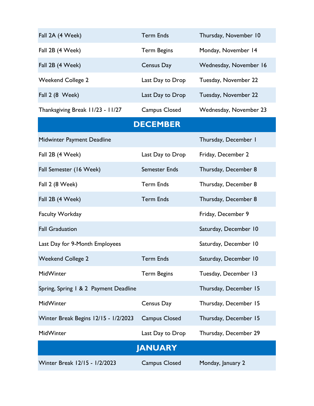| Fall 2A (4 Week)                      | <b>Term Ends</b>     | Thursday, November 10  |  |
|---------------------------------------|----------------------|------------------------|--|
| Fall 2B (4 Week)                      | <b>Term Begins</b>   | Monday, November 14    |  |
| Fall 2B (4 Week)                      | Census Day           | Wednesday, November 16 |  |
| <b>Weekend College 2</b>              | Last Day to Drop     | Tuesday, November 22   |  |
| Fall 2 (8 Week)                       | Last Day to Drop     | Tuesday, November 22   |  |
| Thanksgiving Break 11/23 - 11/27      | Campus Closed        | Wednesday, November 23 |  |
|                                       | <b>DECEMBER</b>      |                        |  |
| Midwinter Payment Deadline            |                      | Thursday, December I   |  |
| Fall 2B (4 Week)                      | Last Day to Drop     | Friday, December 2     |  |
| Fall Semester (16 Week)               | <b>Semester Ends</b> | Thursday, December 8   |  |
| Fall 2 (8 Week)                       | <b>Term Ends</b>     | Thursday, December 8   |  |
| Fall 2B (4 Week)                      | <b>Term Ends</b>     | Thursday, December 8   |  |
| <b>Faculty Workday</b>                |                      | Friday, December 9     |  |
| <b>Fall Graduation</b>                |                      | Saturday, December 10  |  |
| Last Day for 9-Month Employees        |                      | Saturday, December 10  |  |
| <b>Weekend College 2</b>              | <b>Term Ends</b>     | Saturday, December 10  |  |
| MidWinter                             | <b>Term Begins</b>   | Tuesday, December 13   |  |
| Spring, Spring 1 & 2 Payment Deadline |                      | Thursday, December 15  |  |
| MidWinter                             | Census Day           | Thursday, December 15  |  |
| Winter Break Begins 12/15 - 1/2/2023  | <b>Campus Closed</b> | Thursday, December 15  |  |
| MidWinter                             | Last Day to Drop     | Thursday, December 29  |  |
| <b>JANUARY</b>                        |                      |                        |  |
| Winter Break 12/15 - 1/2/2023         | <b>Campus Closed</b> | Monday, January 2      |  |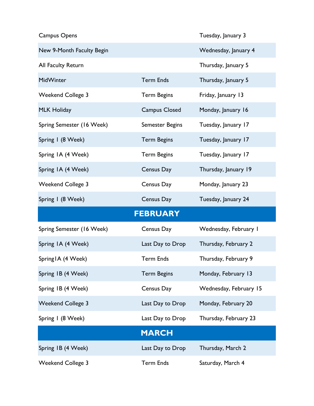| <b>Campus Opens</b>       |                      | Tuesday, January 3     |
|---------------------------|----------------------|------------------------|
| New 9-Month Faculty Begin |                      | Wednesday, January 4   |
| All Faculty Return        |                      | Thursday, January 5    |
| MidWinter                 | <b>Term Ends</b>     | Thursday, January 5    |
| <b>Weekend College 3</b>  | <b>Term Begins</b>   | Friday, January 13     |
| <b>MLK Holiday</b>        | <b>Campus Closed</b> | Monday, January 16     |
| Spring Semester (16 Week) | Semester Begins      | Tuesday, January 17    |
| Spring I (8 Week)         | <b>Term Begins</b>   | Tuesday, January 17    |
| Spring IA (4 Week)        | <b>Term Begins</b>   | Tuesday, January 17    |
| Spring IA (4 Week)        | Census Day           | Thursday, January 19   |
| <b>Weekend College 3</b>  | Census Day           | Monday, January 23     |
| Spring I (8 Week)         | Census Day           | Tuesday, January 24    |
|                           | <b>FEBRUARY</b>      |                        |
|                           |                      |                        |
| Spring Semester (16 Week) | Census Day           | Wednesday, February I  |
| Spring IA (4 Week)        | Last Day to Drop     | Thursday, February 2   |
| Spring IA (4 Week)        | Term Ends            | Thursday, February 9   |
| Spring IB (4 Week)        | <b>Term Begins</b>   | Monday, February 13    |
| Spring IB (4 Week)        | Census Day           | Wednesday, February 15 |
| <b>Weekend College 3</b>  | Last Day to Drop     | Monday, February 20    |
| Spring I (8 Week)         | Last Day to Drop     | Thursday, February 23  |
|                           | <b>MARCH</b>         |                        |
| Spring IB (4 Week)        | Last Day to Drop     | Thursday, March 2      |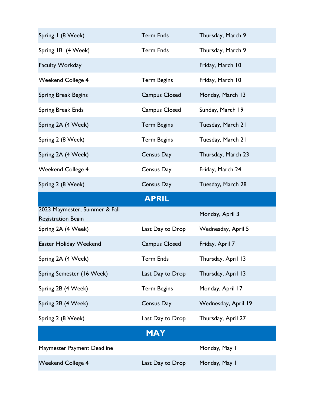| Spring I (8 Week)                                          | <b>Term Ends</b>     | Thursday, March 9   |
|------------------------------------------------------------|----------------------|---------------------|
| Spring IB (4 Week)                                         | <b>Term Ends</b>     | Thursday, March 9   |
| <b>Faculty Workday</b>                                     |                      | Friday, March 10    |
| <b>Weekend College 4</b>                                   | <b>Term Begins</b>   | Friday, March 10    |
| Spring Break Begins                                        | <b>Campus Closed</b> | Monday, March 13    |
| <b>Spring Break Ends</b>                                   | <b>Campus Closed</b> | Sunday, March 19    |
| Spring 2A (4 Week)                                         | <b>Term Begins</b>   | Tuesday, March 21   |
| Spring 2 (8 Week)                                          | <b>Term Begins</b>   | Tuesday, March 21   |
| Spring 2A (4 Week)                                         | Census Day           | Thursday, March 23  |
| <b>Weekend College 4</b>                                   | Census Day           | Friday, March 24    |
| Spring 2 (8 Week)                                          | Census Day           | Tuesday, March 28   |
|                                                            | <b>APRIL</b>         |                     |
| 2023 Maymester, Summer & Fall<br><b>Registration Begin</b> |                      | Monday, April 3     |
| Spring 2A (4 Week)                                         | Last Day to Drop     | Wednesday, April 5  |
| Easter Holiday Weekend                                     | <b>Campus Closed</b> | Friday, April 7     |
| Spring 2A (4 Week)                                         | <b>Term Ends</b>     | Thursday, April 13  |
| Spring Semester (16 Week)                                  | Last Day to Drop     | Thursday, April 13  |
| Spring 2B (4 Week)                                         | <b>Term Begins</b>   | Monday, April 17    |
| Spring 2B (4 Week)                                         | Census Day           | Wednesday, April 19 |
| Spring 2 (8 Week)                                          | Last Day to Drop     | Thursday, April 27  |
|                                                            | <b>MAY</b>           |                     |
|                                                            |                      |                     |
| Maymester Payment Deadline                                 |                      | Monday, May 1       |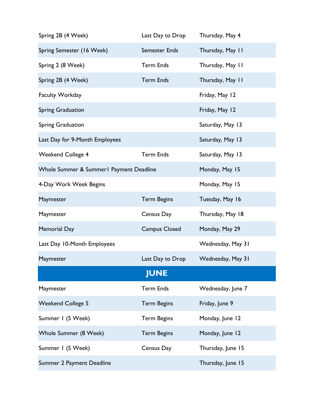| Spring 2B (4 Week)                       | Last Day to Drop     | Thursday, May 4   |  |
|------------------------------------------|----------------------|-------------------|--|
| Spring Semester (16 Week)                | Semester Ends        | Thursday, May 11  |  |
| Spring 2 (8 Week)                        | <b>Term Ends</b>     | Thursday, May 11  |  |
| Spring 2B (4 Week)                       | <b>Term Ends</b>     | Thursday, May 11  |  |
| Faculty Workday                          |                      | Friday, May 12    |  |
| Spring Graduation                        |                      | Friday, May 12    |  |
| Spring Graduation                        |                      | Saturday, May 13  |  |
| Last Day for 9-Month Employees           |                      | Saturday, May 13  |  |
| <b>Weekend College 4</b>                 | <b>Term Ends</b>     | Saturday, May 13  |  |
| Whole Summer & Summer I Payment Deadline |                      | Monday, May 15    |  |
| 4-Day Work Week Begins                   |                      | Monday, May 15    |  |
| Maymester                                | <b>Term Begins</b>   | Tuesday, May 16   |  |
| Maymester                                | Census Day           | Thursday, May 18  |  |
| <b>Memorial Day</b>                      | <b>Campus Closed</b> | Monday, May 29    |  |
| Last Day 10-Month Employees              |                      | Wednesday, May 31 |  |
| Maymester                                | Last Day to Drop     | Wednesday, May 31 |  |
| <b>JUNE</b>                              |                      |                   |  |
| Maymester                                | <b>Term Ends</b>     | Wednesday, June 7 |  |
| <b>Weekend College 5</b>                 | <b>Term Begins</b>   | Friday, June 9    |  |
| Summer I (5 Week)                        | <b>Term Begins</b>   | Monday, June 12   |  |
| Whole Summer (8 Week)                    | <b>Term Begins</b>   | Monday, June 12   |  |
| Summer I (5 Week)                        | Census Day           | Thursday, June 15 |  |
| Summer 2 Payment Deadline                |                      | Thursday, June 15 |  |